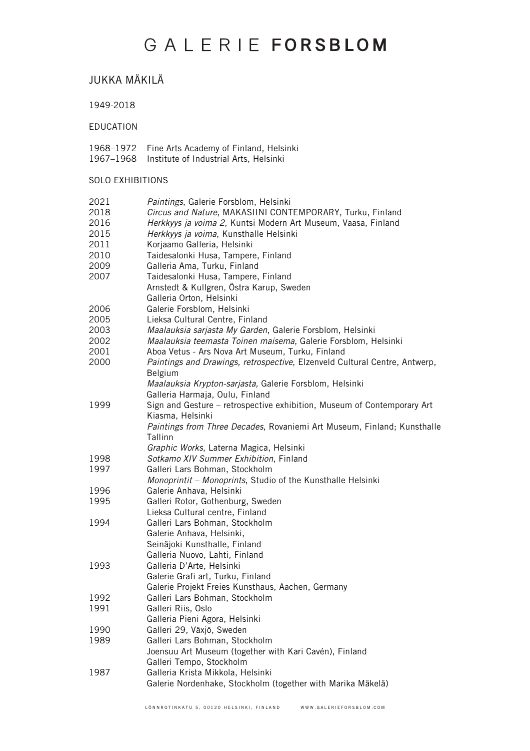### JUKKA MÄKILÄ

1949-2018

EDUCATION

- 1968–1972 Fine Arts Academy of Finland, Helsinki
- 1967–1968 Institute of Industrial Arts, Helsinki

#### SOLO EXHIBITIONS

| 2021<br>2018<br>2016<br>2015<br>2011<br>2010 | Paintings, Galerie Forsblom, Helsinki<br>Circus and Nature, MAKASIINI CONTEMPORARY, Turku, Finland<br>Herkkyys ja voima 2, Kuntsi Modern Art Museum, Vaasa, Finland<br>Herkkyys ja voima, Kunsthalle Helsinki<br>Korjaamo Galleria, Helsinki<br>Taidesalonki Husa, Tampere, Finland                                                                                                                  |
|----------------------------------------------|------------------------------------------------------------------------------------------------------------------------------------------------------------------------------------------------------------------------------------------------------------------------------------------------------------------------------------------------------------------------------------------------------|
| 2009<br>2007                                 | Galleria Ama, Turku, Finland<br>Taidesalonki Husa, Tampere, Finland<br>Arnstedt & Kullgren, Östra Karup, Sweden<br>Galleria Orton, Helsinki                                                                                                                                                                                                                                                          |
| 2006<br>2005<br>2003<br>2002<br>2001<br>2000 | Galerie Forsblom, Helsinki<br>Lieksa Cultural Centre, Finland<br>Maalauksia sarjasta My Garden, Galerie Forsblom, Helsinki<br>Maalauksia teemasta Toinen maisema, Galerie Forsblom, Helsinki<br>Aboa Vetus - Ars Nova Art Museum, Turku, Finland<br>Paintings and Drawings, retrospective, Elzenveld Cultural Centre, Antwerp,<br>Belgium<br>Maalauksia Krypton-sarjasta, Galerie Forsblom, Helsinki |
| 1999                                         | Galleria Harmaja, Oulu, Finland<br>Sign and Gesture – retrospective exhibition, Museum of Contemporary Art<br>Kiasma, Helsinki<br>Paintings from Three Decades, Rovaniemi Art Museum, Finland; Kunsthalle<br>Tallinn<br>Graphic Works, Laterna Magica, Helsinki                                                                                                                                      |
| 1998                                         | Sotkamo XIV Summer Exhibition, Finland                                                                                                                                                                                                                                                                                                                                                               |
| 1997                                         | Galleri Lars Bohman, Stockholm<br>Monoprintit - Monoprints, Studio of the Kunsthalle Helsinki                                                                                                                                                                                                                                                                                                        |
| 1996                                         | Galerie Anhava, Helsinki                                                                                                                                                                                                                                                                                                                                                                             |
| 1995                                         | Galleri Rotor, Gothenburg, Sweden<br>Lieksa Cultural centre, Finland                                                                                                                                                                                                                                                                                                                                 |
| 1994                                         | Galleri Lars Bohman, Stockholm<br>Galerie Anhava, Helsinki,<br>Seinäjoki Kunsthalle, Finland<br>Galleria Nuovo, Lahti, Finland                                                                                                                                                                                                                                                                       |
| 1993                                         | Galleria D'Arte, Helsinki<br>Galerie Grafi art, Turku, Finland<br>Galerie Projekt Freies Kunsthaus, Aachen, Germany                                                                                                                                                                                                                                                                                  |
| 1992<br>1991                                 | Galleri Lars Bohman, Stockholm<br>Galleri Riis, Oslo<br>Galleria Pieni Agora, Helsinki                                                                                                                                                                                                                                                                                                               |
| 1990                                         | Galleri 29, Växjö, Sweden                                                                                                                                                                                                                                                                                                                                                                            |
| 1989                                         | Galleri Lars Bohman, Stockholm<br>Joensuu Art Museum (together with Kari Cavén), Finland<br>Galleri Tempo, Stockholm                                                                                                                                                                                                                                                                                 |
| 1987                                         | Galleria Krista Mikkola, Helsinki<br>Galerie Nordenhake, Stockholm (together with Marika Mäkelä)                                                                                                                                                                                                                                                                                                     |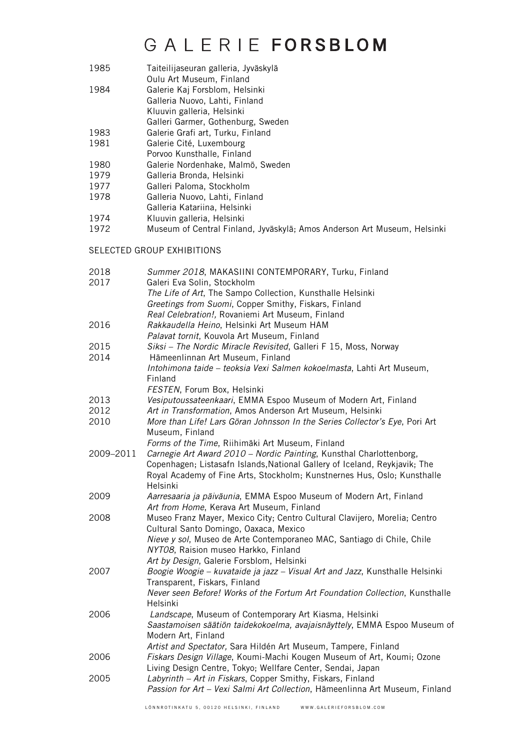1985 Taiteilijaseuran galleria, Jyväskylä

Oulu Art Museum, Finland

- 1984 Galerie Kaj Forsblom, Helsinki
- Galleria Nuovo, Lahti, Finland

Kluuvin galleria, Helsinki

- Galleri Garmer, Gothenburg, Sweden
- 1983 Galerie Grafi art, Turku, Finland<br>1981 Galerie Cité, Luxembourg
- Galerie Cité, Luxembourg
- Porvoo Kunsthalle, Finland
- 1980 Galerie Nordenhake, Malmö, Sweden
- 1979 Galleria Bronda, Helsinki<br>1977 Galleri Paloma, Stockholr
- 1977 Galleri Paloma, Stockholm<br>1978 Galleria Nuovo, Lahti, Finla
- Galleria Nuovo, Lahti, Finland
- Galleria Katariina, Helsinki
- 1974 Kluuvin galleria, Helsinki<br>1972 Museum of Central Finlar
- Museum of Central Finland, Jyväskylä; Amos Anderson Art Museum, Helsinki

### SELECTED GROUP EXHIBITIONS

| Summer 2018, MAKASIINI CONTEMPORARY, Turku, Finland                          |
|------------------------------------------------------------------------------|
| Galeri Eva Solin, Stockholm                                                  |
| The Life of Art, The Sampo Collection, Kunsthalle Helsinki                   |
| Greetings from Suomi, Copper Smithy, Fiskars, Finland                        |
| Real Celebration!, Rovaniemi Art Museum, Finland                             |
| Rakkaudella Heino, Helsinki Art Museum HAM                                   |
| Palavat tornit, Kouvola Art Museum, Finland                                  |
| Siksi - The Nordic Miracle Revisited, Galleri F 15, Moss, Norway             |
| Hämeenlinnan Art Museum, Finland                                             |
| Intohimona taide - teoksia Vexi Salmen kokoelmasta, Lahti Art Museum,        |
| Finland                                                                      |
| FESTEN, Forum Box, Helsinki                                                  |
| Vesiputoussateenkaari, EMMA Espoo Museum of Modern Art, Finland              |
| Art in Transformation, Amos Anderson Art Museum, Helsinki                    |
| More than Life! Lars Göran Johnsson In the Series Collector's Eye, Pori Art  |
| Museum, Finland                                                              |
| Forms of the Time, Riihimäki Art Museum, Finland                             |
| Carnegie Art Award 2010 - Nordic Painting, Kunsthal Charlottenborg,          |
| Copenhagen; Listasafn Islands, National Gallery of Iceland, Reykjavik; The   |
| Royal Academy of Fine Arts, Stockholm; Kunstnernes Hus, Oslo; Kunsthalle     |
| Helsinki                                                                     |
| Aarresaaria ja päiväunia, EMMA Espoo Museum of Modern Art, Finland           |
| Art from Home, Kerava Art Museum, Finland                                    |
| Museo Franz Mayer, Mexico City; Centro Cultural Clavijero, Morelia; Centro   |
| Cultural Santo Domingo, Oaxaca, Mexico                                       |
| Nieve y sol, Museo de Arte Contemporaneo MAC, Santiago di Chile, Chile       |
| NYT08, Raision museo Harkko, Finland                                         |
| Art by Design, Galerie Forsblom, Helsinki                                    |
| Boogie Woogie - kuvataide ja jazz - Visual Art and Jazz, Kunsthalle Helsinki |
| Transparent, Fiskars, Finland                                                |
| Never seen Before! Works of the Fortum Art Foundation Collection, Kunsthalle |
| Helsinki                                                                     |
| Landscape, Museum of Contemporary Art Kiasma, Helsinki                       |
| Saastamoisen säätiön taidekokoelma, avajaisnäyttely, EMMA Espoo Museum of    |
| Modern Art, Finland                                                          |
| Artist and Spectator, Sara Hildén Art Museum, Tampere, Finland               |
| Fiskars Design Village, Koumi-Machi Kougen Museum of Art, Koumi; Ozone       |
| Living Design Centre, Tokyo; Wellfare Center, Sendai, Japan                  |
| Labyrinth - Art in Fiskars, Copper Smithy, Fiskars, Finland                  |
| Passion for Art - Vexi Salmi Art Collection, Hämeenlinna Art Museum, Finland |
|                                                                              |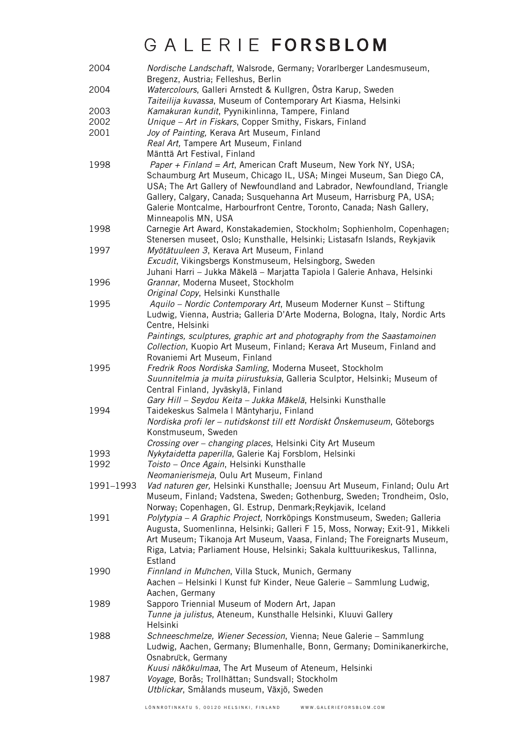| 2004      | Nordische Landschaft, Walsrode, Germany; Vorarlberger Landesmuseum,<br>Bregenz, Austria; Felleshus, Berlin                                                                                                                                                                                                                                                              |
|-----------|-------------------------------------------------------------------------------------------------------------------------------------------------------------------------------------------------------------------------------------------------------------------------------------------------------------------------------------------------------------------------|
| 2004      | Watercolours, Galleri Arnstedt & Kullgren, Östra Karup, Sweden<br>Taiteilija kuvassa, Museum of Contemporary Art Kiasma, Helsinki                                                                                                                                                                                                                                       |
| 2003      | Kamakuran kundit, Pyynikinlinna, Tampere, Finland                                                                                                                                                                                                                                                                                                                       |
| 2002      | Unique - Art in Fiskars, Copper Smithy, Fiskars, Finland                                                                                                                                                                                                                                                                                                                |
| 2001      | Joy of Painting, Kerava Art Museum, Finland                                                                                                                                                                                                                                                                                                                             |
|           | Real Art, Tampere Art Museum, Finland                                                                                                                                                                                                                                                                                                                                   |
|           | Mänttä Art Festival, Finland                                                                                                                                                                                                                                                                                                                                            |
| 1998      | Paper + Finland = Art, American Craft Museum, New York NY, USA;<br>Schaumburg Art Museum, Chicago IL, USA; Mingei Museum, San Diego CA,<br>USA; The Art Gallery of Newfoundland and Labrador, Newfoundland, Triangle<br>Gallery, Calgary, Canada; Susquehanna Art Museum, Harrisburg PA, USA;<br>Galerie Montcalme, Harbourfront Centre, Toronto, Canada; Nash Gallery, |
|           | Minneapolis MN, USA                                                                                                                                                                                                                                                                                                                                                     |
| 1998      | Carnegie Art Award, Konstakademien, Stockholm; Sophienholm, Copenhagen;<br>Stenersen museet, Oslo; Kunsthalle, Helsinki; Listasafn Islands, Reykjavik                                                                                                                                                                                                                   |
| 1997      | Myötätuuleen 3, Kerava Art Museum, Finland                                                                                                                                                                                                                                                                                                                              |
|           | Excudit, Vikingsbergs Konstmuseum, Helsingborg, Sweden                                                                                                                                                                                                                                                                                                                  |
|           | Juhani Harri – Jukka Mäkelä – Marjatta Tapiola I Galerie Anhava, Helsinki                                                                                                                                                                                                                                                                                               |
| 1996      | Grannar, Moderna Museet, Stockholm                                                                                                                                                                                                                                                                                                                                      |
|           | Original Copy, Helsinki Kunsthalle                                                                                                                                                                                                                                                                                                                                      |
| 1995      | Aquilo - Nordic Contemporary Art, Museum Moderner Kunst - Stiftung                                                                                                                                                                                                                                                                                                      |
|           | Ludwig, Vienna, Austria; Galleria D'Arte Moderna, Bologna, Italy, Nordic Arts<br>Centre, Helsinki                                                                                                                                                                                                                                                                       |
|           | Paintings, sculptures, graphic art and photography from the Saastamoinen                                                                                                                                                                                                                                                                                                |
|           | Collection, Kuopio Art Museum, Finland; Kerava Art Museum, Finland and                                                                                                                                                                                                                                                                                                  |
|           | Rovaniemi Art Museum, Finland                                                                                                                                                                                                                                                                                                                                           |
| 1995      | Fredrik Roos Nordiska Samling, Moderna Museet, Stockholm                                                                                                                                                                                                                                                                                                                |
|           | Suunnitelmia ja muita piirustuksia, Galleria Sculptor, Helsinki; Museum of                                                                                                                                                                                                                                                                                              |
|           | Central Finland, Jyväskylä, Finland                                                                                                                                                                                                                                                                                                                                     |
|           | Gary Hill - Seydou Keita - Jukka Mäkelä, Helsinki Kunsthalle                                                                                                                                                                                                                                                                                                            |
| 1994      | Taidekeskus Salmela   Mäntyharju, Finland                                                                                                                                                                                                                                                                                                                               |
|           | Nordiska profi ler – nutidskonst till ett Nordiskt Önskemuseum, Göteborgs                                                                                                                                                                                                                                                                                               |
|           | Konstmuseum, Sweden                                                                                                                                                                                                                                                                                                                                                     |
|           | Crossing over - changing places, Helsinki City Art Museum                                                                                                                                                                                                                                                                                                               |
| 1993      | Nykytaidetta paperilla, Galerie Kaj Forsblom, Helsinki                                                                                                                                                                                                                                                                                                                  |
| 1992      | <i>Toisto – Once Again</i> , Helsinki Kunsthalle                                                                                                                                                                                                                                                                                                                        |
|           | Neomanierismeja, Oulu Art Museum, Finland                                                                                                                                                                                                                                                                                                                               |
| 1991-1993 | Vad naturen ger, Helsinki Kunsthalle; Joensuu Art Museum, Finland; Oulu Art                                                                                                                                                                                                                                                                                             |
|           | Museum, Finland; Vadstena, Sweden; Gothenburg, Sweden; Trondheim, Oslo,                                                                                                                                                                                                                                                                                                 |
|           |                                                                                                                                                                                                                                                                                                                                                                         |
| 1991      | Norway; Copenhagen, Gl. Estrup, Denmark; Reykjavik, Iceland<br>Polytypia - A Graphic Project, Norrköpings Konstmuseum, Sweden; Galleria                                                                                                                                                                                                                                 |
|           |                                                                                                                                                                                                                                                                                                                                                                         |
|           | Augusta, Suomenlinna, Helsinki; Galleri F 15, Moss, Norway; Exit-91, Mikkeli                                                                                                                                                                                                                                                                                            |
|           | Art Museum; Tikanoja Art Museum, Vaasa, Finland; The Foreignarts Museum,                                                                                                                                                                                                                                                                                                |
|           | Riga, Latvia; Parliament House, Helsinki; Sakala kulttuurikeskus, Tallinna,                                                                                                                                                                                                                                                                                             |
|           | Estland                                                                                                                                                                                                                                                                                                                                                                 |
| 1990      | Finnland in Munchen, Villa Stuck, Munich, Germany                                                                                                                                                                                                                                                                                                                       |
|           | Aachen - Helsinki   Kunst fur Kinder, Neue Galerie - Sammlung Ludwig,                                                                                                                                                                                                                                                                                                   |
|           | Aachen, Germany                                                                                                                                                                                                                                                                                                                                                         |
| 1989      | Sapporo Triennial Museum of Modern Art, Japan                                                                                                                                                                                                                                                                                                                           |
|           | Tunne ja julistus, Ateneum, Kunsthalle Helsinki, Kluuvi Gallery                                                                                                                                                                                                                                                                                                         |
|           | Helsinki                                                                                                                                                                                                                                                                                                                                                                |
| 1988      | Schneeschmelze, Wiener Secession, Vienna; Neue Galerie - Sammlung                                                                                                                                                                                                                                                                                                       |
|           | Ludwig, Aachen, Germany; Blumenhalle, Bonn, Germany; Dominikanerkirche,                                                                                                                                                                                                                                                                                                 |
|           | Osnabruck, Germany                                                                                                                                                                                                                                                                                                                                                      |
|           | Kuusi näkökulmaa, The Art Museum of Ateneum, Helsinki                                                                                                                                                                                                                                                                                                                   |
| 1987      | Voyage, Borås; Trollhättan; Sundsvall; Stockholm                                                                                                                                                                                                                                                                                                                        |
|           | Utblickar, Smålands museum, Växjö, Sweden                                                                                                                                                                                                                                                                                                                               |
|           |                                                                                                                                                                                                                                                                                                                                                                         |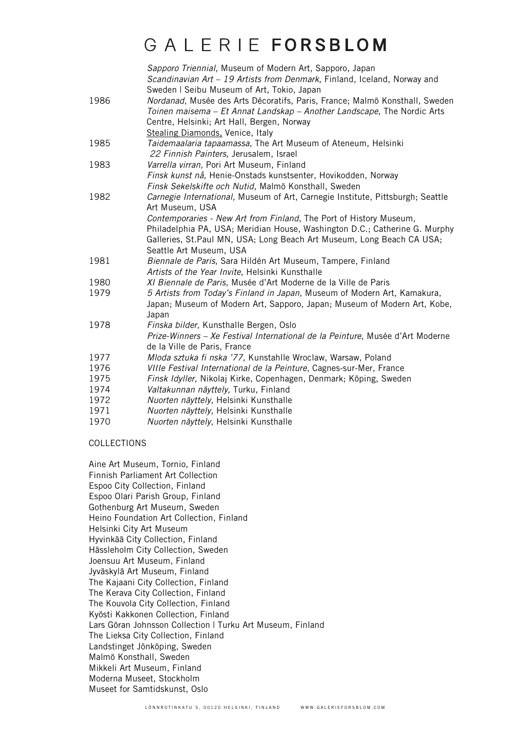|      | Sapporo Triennial, Museum of Modern Art, Sapporo, Japan<br>Scandinavian Art - 19 Artists from Denmark, Finland, Iceland, Norway and<br>Sweden   Seibu Museum of Art, Tokio, Japan                                                        |
|------|------------------------------------------------------------------------------------------------------------------------------------------------------------------------------------------------------------------------------------------|
| 1986 | Nordanad, Musée des Arts Décoratifs, Paris, France; Malmö Konsthall, Sweden<br>Toinen maisema - Et Annat Landskap - Another Landscape, The Nordic Arts<br>Centre, Helsinki; Art Hall, Bergen, Norway<br>Stealing Diamonds, Venice, Italy |
| 1985 | Taidemaalaria tapaamassa, The Art Museum of Ateneum, Helsinki<br>22 Finnish Painters, Jerusalem, Israel                                                                                                                                  |
| 1983 | Varrella virran, Pori Art Museum, Finland<br>Finsk kunst nå, Henie-Onstads kunstsenter, Hovikodden, Norway<br>Finsk Sekelskifte och Nutid, Malmö Konsthall, Sweden                                                                       |
| 1982 | Carnegie International, Museum of Art, Carnegie Institute, Pittsburgh; Seattle<br>Art Museum, USA<br>Contemporaries - New Art from Finland, The Port of History Museum,                                                                  |
|      | Philadelphia PA, USA; Meridian House, Washington D.C.; Catherine G. Murphy<br>Galleries, St.Paul MN, USA; Long Beach Art Museum, Long Beach CA USA;<br>Seattle Art Museum, USA                                                           |
| 1981 | Biennale de Paris, Sara Hildén Art Museum, Tampere, Finland<br>Artists of the Year Invite, Helsinki Kunsthalle                                                                                                                           |
| 1980 | XI Biennale de Paris, Musée d'Art Moderne de la Ville de Paris                                                                                                                                                                           |
| 1979 | 5 Artists from Today's Finland in Japan, Museum of Modern Art, Kamakura,<br>Japan; Museum of Modern Art, Sapporo, Japan; Museum of Modern Art, Kobe,<br>Japan                                                                            |
| 1978 | Finska bilder, Kunsthalle Bergen, Oslo<br>Prize-Winners - Xe Festival International de la Peinture, Musée d'Art Moderne<br>de la Ville de Paris, France                                                                                  |
| 1977 | Mloda sztuka fi nska '77, Kunstahlle Wroclaw, Warsaw, Poland                                                                                                                                                                             |
| 1976 | VIIIe Festival International de la Peinture, Cagnes-sur-Mer, France                                                                                                                                                                      |
| 1975 | Finsk Idyller, Nikolaj Kirke, Copenhagen, Denmark; Köping, Sweden                                                                                                                                                                        |
| 1974 | Valtakunnan näyttely, Turku, Finland                                                                                                                                                                                                     |
| 1972 | Nuorten näyttely, Helsinki Kunsthalle                                                                                                                                                                                                    |
| 1971 | Nuorten näyttely, Helsinki Kunsthalle                                                                                                                                                                                                    |
| 1970 | Nuorten näyttely, Helsinki Kunsthalle                                                                                                                                                                                                    |

#### COLLECTIONS

Aine Art Museum, Tornio, Finland Finnish Parliament Art Collection Espoo City Collection, Finland Espoo Olari Parish Group, Finland Gothenburg Art Museum, Sweden Heino Foundation Art Collection, Finland Helsinki City Art Museum Hyvinkää City Collection, Finland Hässleholm City Collection, Sweden Joensuu Art Museum, Finland Jyväskylä Art Museum, Finland The Kajaani City Collection, Finland The Kerava City Collection, Finland The Kouvola City Collection, Finland Kyösti Kakkonen Collection, Finland Lars Göran Johnsson Collection | Turku Art Museum, Finland The Lieksa City Collection, Finland Landstinget Jönköping, Sweden Malmö Konsthall, Sweden Mikkeli Art Museum, Finland Moderna Museet, Stockholm Museet for Samtidskunst, Oslo